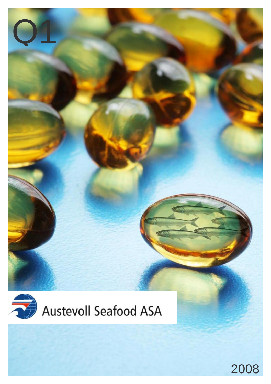

Q1

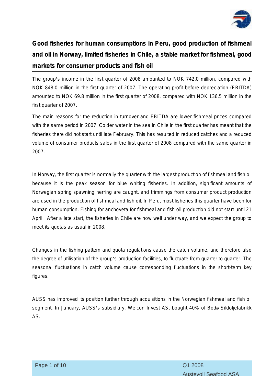

**Good fisheries for human consumptions in Peru, good production of fishmeal and oil in Norway, limited fisheries in Chile, a stable market for fishmeal, good markets for consumer products and fish oil** 

The group's income in the first quarter of 2008 amounted to NOK 742.0 million, compared with NOK 848.0 million in the first quarter of 2007. The operating profit before depreciation (EBITDA) amounted to NOK 69.8 million in the first quarter of 2008, compared with NOK 136.5 million in the first quarter of 2007.

The main reasons for the reduction in turnover and EBITDA are lower fishmeal prices compared with the same period in 2007. Colder water in the sea in Chile in the first quarter has meant that the fisheries there did not start until late February. This has resulted in reduced catches and a reduced volume of consumer products sales in the first quarter of 2008 compared with the same quarter in 2007.

In Norway, the first quarter is normally the quarter with the largest production of fishmeal and fish oil because it is the peak season for blue whiting fisheries. In addition, significant amounts of Norwegian spring spawning herring are caught, and trimmings from consumer product production are used in the production of fishmeal and fish oil. In Peru, most fisheries this quarter have been for human consumption. Fishing for anchoveta for fishmeal and fish oil production did not start until 21 April. After a late start, the fisheries in Chile are now well under way, and we expect the group to meet its quotas as usual in 2008.

Changes in the fishing pattern and quota regulations cause the catch volume, and therefore also the degree of utilisation of the group's production facilities, to fluctuate from quarter to quarter. The seasonal fluctuations in catch volume cause corresponding fluctuations in the short-term key figures.

AUSS has improved its position further through acquisitions in the Norwegian fishmeal and fish oil segment. In January, AUSS's subsidiary, Welcon Invest AS, bought 40% of Bodø Sildoljefabrikk AS.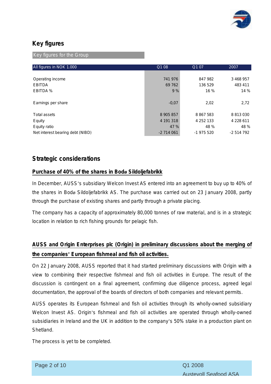

### **Key figures**

Key figures for the Group

| All figures in NOK 1.000         | Q1 08      | Q107          | 2007       |
|----------------------------------|------------|---------------|------------|
|                                  |            |               |            |
| Operating income                 | 741 976    | 847 982       | 3 468 957  |
| <b>EBITDA</b>                    | 69 762     | 136 529       | 483 411    |
| EBITDA %                         | 9%         | 16 %          | 14 %       |
| Earnings per share               | $-0.07$    | 2,02          | 2,72       |
| <b>Total assets</b>              | 8 905 857  | 8 8 6 7 5 8 3 | 8 813 030  |
| Equity                           | 4 191 318  | 4 252 133     | 4 228 611  |
| Equity ratio                     | 47 %       | 48 %          | 48 %       |
| Net interest bearing debt (NIBD) | $-2714061$ | -1 975 520    | $-2514792$ |

### **Strategic considerations**

#### **Purchase of 40% of the shares in Bodø Sildoljefabrikk**

In December, AUSS's subsidiary Welcon Invest AS entered into an agreement to buy up to 40% of the shares in Bodø Sildoljefabrikk AS. The purchase was carried out on 23 January 2008, partly through the purchase of existing shares and partly through a private placing.

The company has a capacity of approximately 80,000 tonnes of raw material, and is in a strategic location in relation to rich fishing grounds for pelagic fish.

## **AUSS and Origin Enterprises plc (Origin) in preliminary discussions about the merging of the companies' European fishmeal and fish oil activities.**

On 22 January 2008, AUSS reported that it had started preliminary discussions with Origin with a view to combining their respective fishmeal and fish oil activities in Europe. The result of the discussion is contingent on a final agreement, confirming due diligence process, agreed legal documentation, the approval of the boards of directors of both companies and relevant permits.

AUSS operates its European fishmeal and fish oil activities through its wholly-owned subsidiary Welcon Invest AS. Origin's fishmeal and fish oil activities are operated through wholly-owned subsidiaries in Ireland and the UK in addition to the company's 50% stake in a production plant on Shetland.

The process is yet to be completed.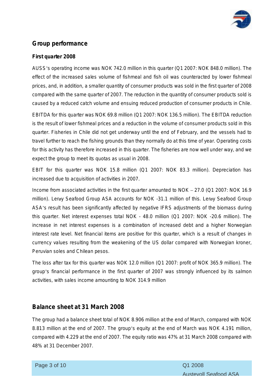

### **Group performance**

#### **First quarter 2008**

AUSS's operating income was NOK 742.0 million in this quarter (Q1 2007: NOK 848.0 million). The effect of the increased sales volume of fishmeal and fish oil was counteracted by lower fishmeal prices, and, in addition, a smaller quantity of consumer products was sold in the first quarter of 2008 compared with the same quarter of 2007. The reduction in the quantity of consumer products sold is caused by a reduced catch volume and ensuing reduced production of consumer products in Chile.

EBITDA for this quarter was NOK 69.8 million (Q1 2007: NOK 136.5 million). The EBITDA reduction is the result of lower fishmeal prices and a reduction in the volume of consumer products sold in this quarter. Fisheries in Chile did not get underway until the end of February, and the vessels had to travel further to reach the fishing grounds than they normally do at this time of year. Operating costs for this activity has therefore increased in this quarter. The fisheries are now well under way, and we expect the group to meet its quotas as usual in 2008.

EBIT for this quarter was NOK 15.8 million (Q1 2007: NOK 83.3 million). Depreciation has increased due to acquisition of activities in 2007.

Income from associated activities in the first quarter amounted to NOK – 27.0 (Q1 2007: NOK 16.9 million). Lerøy Seafood Group ASA accounts for NOK -31.1 million of this. Lerøy Seafood Group ASA's result has been significantly affected by negative IFRS adjustments of the biomass during this quarter. Net interest expenses total NOK - 48.0 million (Q1 2007: NOK -20.6 million). The increase in net interest expenses is a combination of increased debt and a higher Norwegian interest rate level. Net financial items are positive for this quarter, which is a result of changes in currency values resulting from the weakening of the US dollar compared with Norwegian kroner, Peruvian soles and Chilean pesos.

The loss after tax for this quarter was NOK 12.0 million (Q1 2007: profit of NOK 365.9 million). The group's financial performance in the first quarter of 2007 was strongly influenced by its salmon activities, with sales income amounting to NOK 314.9 million

### **Balance sheet at 31 March 2008**

The group had a balance sheet total of NOK 8.906 million at the end of March, compared with NOK 8.813 million at the end of 2007. The group's equity at the end of March was NOK 4.191 million, compared with 4.229 at the end of 2007. The equity ratio was 47% at 31 March 2008 compared with 48% at 31 December 2007.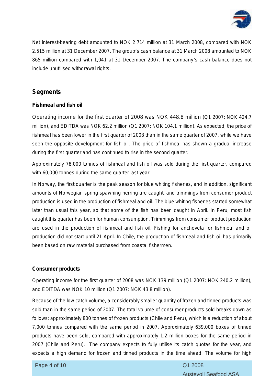

Net interest-bearing debt amounted to NOK 2.714 million at 31 March 2008, compared with NOK 2.515 million at 31 December 2007. The group's cash balance at 31 March 2008 amounted to NOK 865 million compared with 1,041 at 31 December 2007. The company's cash balance does not include unutilised withdrawal rights.

### **Segments**

#### **Fishmeal and fish oil**

Operating income for the first quarter of 2008 was NOK 448.8 million (Q1 2007: NOK 424.7 million), and EDITDA was NOK 62.2 million (Q1 2007: NOK 104.1 million). As expected, the price of fishmeal has been lower in the first quarter of 2008 than in the same quarter of 2007, while we have seen the opposite development for fish oil. The price of fishmeal has shown a gradual increase during the first quarter and has continued to rise in the second quarter.

Approximately 78,000 tonnes of fishmeal and fish oil was sold during the first quarter, compared with 60,000 tonnes during the same quarter last year.

In Norway, the first quarter is the peak season for blue whiting fisheries, and in addition, significant amounts of Norwegian spring spawning herring are caught, and trimmings from consumer product production is used in the production of fishmeal and oil. The blue whiting fisheries started somewhat later than usual this year, so that some of the fish has been caught in April. In Peru, most fish caught this quarter has been for human consumption. Trimmings from consumer product production are used in the production of fishmeal and fish oil. Fishing for anchoveta for fishmeal and oil production did not start until 21 April. In Chile, the production of fishmeal and fish oil has primarily been based on raw material purchased from coastal fishermen.

#### **Consumer products**

Operating income for the first quarter of 2008 was NOK 139 million (Q1 2007: NOK 240.2 million), and EDITDA was NOK 10 million (Q1 2007: NOK 43.8 million).

Because of the low catch volume, a considerably smaller quantity of frozen and tinned products was sold than in the same period of 2007. The total volume of consumer products sold breaks down as follows: approximately 800 tonnes of frozen products (Chile and Peru), which is a reduction of about 7,000 tonnes compared with the same period in 2007. Approximately 639,000 boxes of tinned products have been sold, compared with approximately 1.2 million boxes for the same period in 2007 (Chile and Peru). The company expects to fully utilise its catch quotas for the year, and expects a high demand for frozen and tinned products in the time ahead. The volume for high

Page 4 of 10 Q1 2008

ī

Austevoll Seafood ASA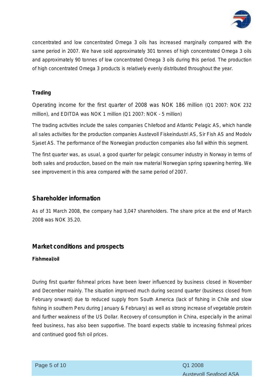

concentrated and low concentrated Omega 3 oils has increased marginally compared with the same period in 2007. We have sold approximately 301 tonnes of high concentrated Omega 3 oils and approximately 90 tonnes of low concentrated Omega 3 oils during this period. The production of high concentrated Omega 3 products is relatively evenly distributed throughout the year.

#### **Trading**

Operating income for the first quarter of 2008 was NOK 186 million (Q1 2007: NOK 232 million), and EDITDA was NOK 1 million (Q1 2007: NOK - 5 million)

The trading activities include the sales companies Chilefood and Atlantic Pelagic AS, which handle all sales activities for the production companies Austevoll Fiskeindustri AS, Sir Fish AS and Modolv Sjøset AS. The performance of the Norwegian production companies also fall within this segment.

The first quarter was, as usual, a good quarter for pelagic consumer industry in Norway in terms of both sales and production, based on the main raw material Norwegian spring spawning herring. We see improvement in this area compared with the same period of 2007.

### **Shareholder information**

As of 31 March 2008, the company had 3,047 shareholders. The share price at the end of March 2008 was NOK 35.20.

### **Market conditions and prospects**

#### **Fishmeal/oil**

During first quarter fishmeal prices have been lower influenced by business closed in November and December mainly. The situation improved much during second quarter (business closed from February onward) due to reduced supply from South America (lack of fishing in Chile and slow fishing in southern Peru during January & February) as well as strong increase of vegetable protein and further weakness of the US Dollar. Recovery of consumption in China, especially in the animal feed business, has also been supportive. The board expects stable to increasing fishmeal prices and continued good fish oil prices.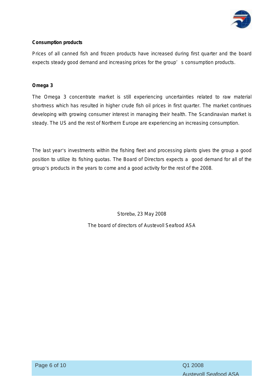

#### **Consumption products**

Prices of all canned fish and frozen products have increased during first quarter and the board expects steady good demand and increasing prices for the group' s consumption products.

#### **Omega 3**

The Omega 3 concentrate market is still experiencing uncertainties related to raw material shortness which has resulted in higher crude fish oil prices in first quarter. The market continues developing with growing consumer interest in managing their health. The Scandinavian market is steady. The US and the rest of Northern Europe are experiencing an increasing consumption.

The last year's investments within the fishing fleet and processing plants gives the group a good position to utilize its fishing quotas. The Board of Directors expects a good demand for all of the group's products in the years to come and a good activity for the rest of the 2008.

> Storebø, 23 May 2008 The board of directors of Austevoll Seafood ASA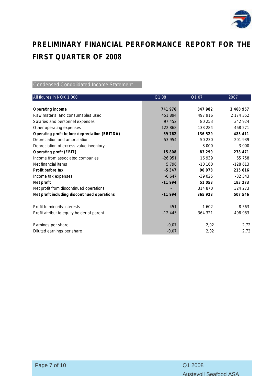

# **PRELIMINARY FINANCIAL PERFORMANCE REPORT FOR THE FIRST QUARTER OF 2008**

#### Condensed Condolidated Income Statement

| All figures in NOK 1.000                      | Q1 08    | Q107     | 2007      |
|-----------------------------------------------|----------|----------|-----------|
|                                               |          |          |           |
| Operating income                              | 741 976  | 847 982  | 3 468 957 |
| Raw material and consumables used             | 451894   | 497 916  | 2 174 352 |
| Salaries and personnel expenses               | 97 452   | 80 253   | 342 924   |
| Other operating expenses                      | 122 868  | 133 284  | 468 271   |
| Operating profit before depreciation (EBITDA) | 69 762   | 136 529  | 483 411   |
| Depreciation and amortisation                 | 53 954   | 50 230   | 201 939   |
| Depreciation of excess value inventory        |          | 3 0 0 0  | 3 0 0 0   |
| Operating profit (EBIT)                       | 15 808   | 83 299   | 278 471   |
| Income from associated companies              | $-26951$ | 16 939   | 65 758    |
| Net financial items                           | 5796     | $-10160$ | $-128613$ |
| Profit before tax                             | $-5347$  | 90 078   | 215 616   |
| Income tax expenses                           | $-6647$  | $-39025$ | $-32343$  |
| Net profit                                    | $-11994$ | 51 053   | 183 273   |
| Net profit from discontinued operations       |          | 314 870  | 324 273   |
| Net profit including discontinued operations  | $-11994$ | 365 923  | 507 546   |
| Profit to minority interests                  | 451      | 1602     | 8 5 6 3   |
| Profit attribut to equity holder of parent    | $-12445$ | 364 321  | 498 983   |
| Earnings per share                            | $-0,07$  | 2,02     | 2,72      |
| Diluted earnings per share                    | $-0,07$  | 2,02     | 2,72      |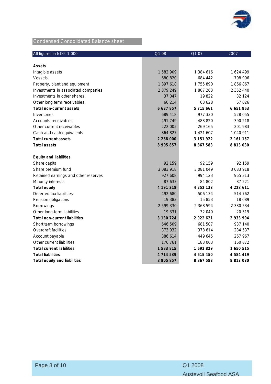

# Condensed Condolidated Balance sheet

| All figures in NOK 1.000             | Q1 08         | $\overline{Q1}$ 07 | 2007          |
|--------------------------------------|---------------|--------------------|---------------|
|                                      |               |                    |               |
| Assets                               |               |                    |               |
| Intagible assets                     | 1 582 909     | 1 384 616          | 1 624 499     |
| Vessels                              | 680 820       | 684 442            | 708 906       |
| Property, plant and equipment        | 1897618       | 1755890            | 1866867       |
| Investments in associated companies  | 2 379 249     | 1807263            | 2 352 440     |
| Investments in other shares          | 37 047        | 19822              | 32 124        |
| Other long term receivables          | 60 214        | 63 628             | 67 026        |
| Total non-current assets             | 6 637 857     | 5 715 661          | 6 651 863     |
| Inventories                          | 689 418       | 977 330            | 528 055       |
| Accounts receivables                 | 491 749       | 483820             | 390 218       |
| Other current receivables            | 222 005       | 269 165            | 201 983       |
| Cash and cash equivalents            | 864 827       | 1 421 607          | 1 040 911     |
| Total current assets                 | 2 268 000     | 3 151 922          | 2 161 167     |
| <b>Total assets</b>                  | 8 905 857     | 8 8 6 7 5 8 3      | 8 8 1 3 0 3 0 |
| Equity and liabilities               |               |                    |               |
| Share capital                        | 92 159        | 92 159             | 92 159        |
| Share premium fund                   | 3 083 918     | 3 081 049          | 3 083 918     |
| Retained earnings and other reserves | 927 608       | 994 123            | 965 313       |
| Minority interests                   | 87 633        | 84 802             | 87 221        |
| <b>Total equity</b>                  | 4 191 318     | 4 252 133          | 4 228 611     |
| Deferred tax liabilities             | 492 680       | 506 134            | 514 762       |
| Pension obligations                  | 19 383        | 15853              | 18 089        |
| <b>Borrowings</b>                    | 2 599 330     | 2 368 594          | 2 380 534     |
| Other long-term liabilities          | 19 331        | 32 040             | 20 519        |
| Total non-current liabilities        | 3 130 724     | 2 922 621          | 2 933 904     |
| Short term borrowings                | 646 509       | 681 507            | 937 140       |
| Overdraft facilities                 | 373 932       | 378 614            | 284 537       |
| Account payable                      | 386 614       | 449 645            | 267 967       |
| Other current liabilities            | 176 761       | 183 063            | 160 872       |
| <b>Total current liabilities</b>     | 1 583 815     | 1 692 829          | 1 650 515     |
| <b>Total liabilities</b>             | 4 7 1 4 5 3 9 | 4 615 450          | 4 5 8 4 4 1 9 |
| Total equity and liabilities         | 8 905 857     | 8 867 583          | 8 813 030     |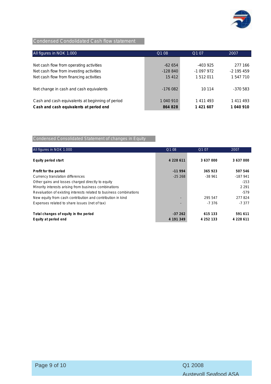

### Condensed Condolidated Cash flow statement

| All figures in NOK 1.000                         | Q1 08     | Q1 07      | 2007         |
|--------------------------------------------------|-----------|------------|--------------|
|                                                  |           |            |              |
| Net cash flow from operating activities          | $-62654$  | $-403925$  | 277 166      |
| Net cash flow from investing activities          | $-128840$ | $-1097972$ | $-2$ 195 459 |
| Net cash flow from financing activities          | 15 4 12   | 1512011    | 1 547 710    |
|                                                  |           |            |              |
| Net change in cash and cash equivalents          | $-176082$ | 10 114     | -370 583     |
|                                                  |           |            |              |
| Cash and cash equivalents at beginning of period | 1 040 910 | 1 411 493  | 1 411 493    |
| Cash and cash equivalents at period end          | 864 828   | 1 421 607  | 1 040 910    |

### Condensed Consolidated Statement of changes in Equity

| All figures in NOK 1.000                                           | Q1 08         | Q1 07         | 2007      |
|--------------------------------------------------------------------|---------------|---------------|-----------|
| Equity period start                                                | 4 2 2 8 6 1 1 | 3 637 000     | 3 637 000 |
| Profit for the period                                              | $-11994$      | 365 923       | 507 546   |
| Currency translation differences                                   | $-25268$      | $-38961$      | $-187941$ |
| Other gains and losses charged directly to equity                  |               |               | $-153$    |
| Minority interests arising from business combinations              |               |               | 2 2 9 1   |
| Revaluation of existing interests related to business combinations |               |               | $-579$    |
| New equity from cash contribution and contribution in kind         |               | 295 547       | 277824    |
| Expenses related to share issues (net of tax)                      |               | $-7.376$      | $-7.377$  |
| Total changes of equity in the period                              | $-37262$      | 615 133       | 591 611   |
| Equity at period end                                               | 4 191 349     | 4 2 5 2 1 3 3 | 4 228 611 |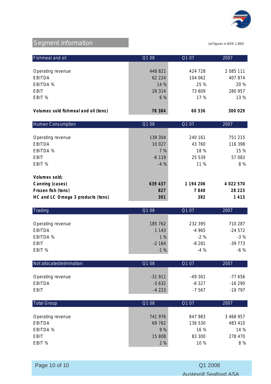

# Segment information (all figures in NOK 1.000)

| Fishmeal and oil                     | Q1 08   | Q1 07   | 2007      |
|--------------------------------------|---------|---------|-----------|
|                                      |         |         |           |
| Operating revenue                    | 448 821 | 424 728 | 2 085 111 |
| <b>EBITDA</b>                        | 62 224  | 104 062 | 407 874   |
| EBITDA %                             | 14 %    | 25 %    | 20 %      |
| EBIT                                 | 28 3 14 | 73 609  | 280 957   |
| EBIT %                               | 6%      | 17 %    | 13 %      |
|                                      |         |         |           |
| Volumes sold fishmeal and oil (tons) | 78 384  | 60 336  | 300 029   |

| <b>Human Consumption</b>          | Q1 08   | Q1 07     | 2007      |
|-----------------------------------|---------|-----------|-----------|
|                                   |         |           |           |
| Operating revenue                 | 139 304 | 240 161   | 751 215   |
| <b>EBITDA</b>                     | 10 0 27 | 43 760    | 116 398   |
| <b>EBITDA %</b>                   | 7 %     | 18 %      | 15 %      |
| EBIT                              | $-6119$ | 25 539    | 57 083    |
| EBIT %                            | $-4%$   | 11 %      | 8 %       |
|                                   |         |           |           |
| Volumes sold;                     |         |           |           |
| Canning (cases)                   | 639 437 | 1 194 206 | 4 022 570 |
| Frozen fish (tons)                | 827     | 7840      | 28 2 23   |
| HC and LC Omega 3 products (tons) | 391     | 382       | 1413      |

| Trading           | Q1 08   | Q1 07   | 2007     |
|-------------------|---------|---------|----------|
|                   |         |         |          |
| Operating revenue | 185 762 | 232 395 | 710 287  |
| <b>EBITDA</b>     | 1 1 4 3 | $-4965$ | $-24572$ |
| EBITDA %          | 1%      | $-2\%$  | $-3%$    |
| <b>EBIT</b>       | $-2164$ | $-8281$ | $-39773$ |
| EBIT %            | $-1%$   | $-4%$   | $-6\%$   |

| Not allocated/elimination | Q1 08    | Q1 07    | 2007     |
|---------------------------|----------|----------|----------|
|                           |          |          |          |
| Operating revenue         | $-31911$ | -49 301  | -77 656  |
| EBITDA                    | $-3632$  | $-6.327$ | $-16290$ |
| EBIT                      | $-4223$  | $-7567$  | -19 797  |

| <b>Total Group</b> | Q1 08   | Q1 07   | 2007      |
|--------------------|---------|---------|-----------|
|                    |         |         |           |
| Operating revenue  | 741 976 | 847 983 | 3 468 957 |
| <b>EBITDA</b>      | 69 762  | 136 530 | 483 410   |
| EBITDA %           | 9%      | 16%     | 14%       |
| <b>EBIT</b>        | 15 808  | 83 300  | 278 470   |
| EBIT %             | 2%      | 10 %    | 8 %       |

ī

Page 10 of 10 Q1 2008 Austevoll Seafood ASA